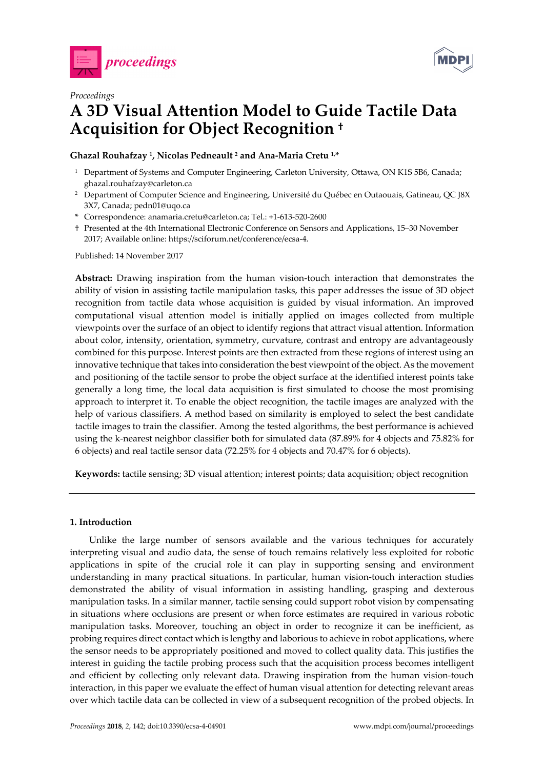



# *Proceedings*

# **A 3D Visual Attention Model to Guide Tactile Data Acquisition for Object Recognition †**

# **Ghazal Rouhafzay 1, Nicolas Pedneault 2 and Ana-Maria Cretu 1,\***

- <sup>1</sup> Department of Systems and Computer Engineering, Carleton University, Ottawa, ON K1S 5B6, Canada; ghazal.rouhafzay@carleton.ca
- 2 Department of Computer Science and Engineering, Université du Québec en Outaouais, Gatineau, QC J8X 3X7, Canada; pedn01@uqo.ca
- **\*** Correspondence: anamaria.cretu@carleton.ca; Tel.: +1-613-520-2600
- † Presented at the 4th International Electronic Conference on Sensors and Applications, 15–30 November 2017; Available online: https://sciforum.net/conference/ecsa-4.

Published: 14 November 2017

**Abstract:** Drawing inspiration from the human vision-touch interaction that demonstrates the ability of vision in assisting tactile manipulation tasks, this paper addresses the issue of 3D object recognition from tactile data whose acquisition is guided by visual information. An improved computational visual attention model is initially applied on images collected from multiple viewpoints over the surface of an object to identify regions that attract visual attention. Information about color, intensity, orientation, symmetry, curvature, contrast and entropy are advantageously combined for this purpose. Interest points are then extracted from these regions of interest using an innovative technique that takes into consideration the best viewpoint of the object. As the movement and positioning of the tactile sensor to probe the object surface at the identified interest points take generally a long time, the local data acquisition is first simulated to choose the most promising approach to interpret it. To enable the object recognition, the tactile images are analyzed with the help of various classifiers. A method based on similarity is employed to select the best candidate tactile images to train the classifier. Among the tested algorithms, the best performance is achieved using the k-nearest neighbor classifier both for simulated data (87.89% for 4 objects and 75.82% for 6 objects) and real tactile sensor data (72.25% for 4 objects and 70.47% for 6 objects).

**Keywords:** tactile sensing; 3D visual attention; interest points; data acquisition; object recognition

# **1. Introduction**

Unlike the large number of sensors available and the various techniques for accurately interpreting visual and audio data, the sense of touch remains relatively less exploited for robotic applications in spite of the crucial role it can play in supporting sensing and environment understanding in many practical situations. In particular, human vision-touch interaction studies demonstrated the ability of visual information in assisting handling, grasping and dexterous manipulation tasks. In a similar manner, tactile sensing could support robot vision by compensating in situations where occlusions are present or when force estimates are required in various robotic manipulation tasks. Moreover, touching an object in order to recognize it can be inefficient, as probing requires direct contact which is lengthy and laborious to achieve in robot applications, where the sensor needs to be appropriately positioned and moved to collect quality data. This justifies the interest in guiding the tactile probing process such that the acquisition process becomes intelligent and efficient by collecting only relevant data. Drawing inspiration from the human vision-touch interaction, in this paper we evaluate the effect of human visual attention for detecting relevant areas over which tactile data can be collected in view of a subsequent recognition of the probed objects. In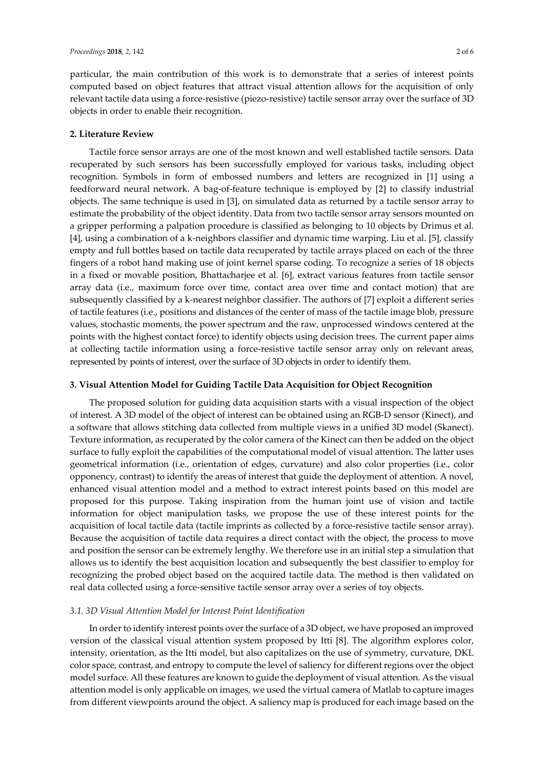particular, the main contribution of this work is to demonstrate that a series of interest points computed based on object features that attract visual attention allows for the acquisition of only relevant tactile data using a force-resistive (piezo-resistive) tactile sensor array over the surface of 3D objects in order to enable their recognition.

## **2. Literature Review**

Tactile force sensor arrays are one of the most known and well established tactile sensors. Data recuperated by such sensors has been successfully employed for various tasks, including object recognition. Symbols in form of embossed numbers and letters are recognized in [1] using a feedforward neural network. A bag-of-feature technique is employed by [2] to classify industrial objects. The same technique is used in [3], on simulated data as returned by a tactile sensor array to estimate the probability of the object identity. Data from two tactile sensor array sensors mounted on a gripper performing a palpation procedure is classified as belonging to 10 objects by Drimus et al. [4], using a combination of a k-neighbors classifier and dynamic time warping. Liu et al. [5], classify empty and full bottles based on tactile data recuperated by tactile arrays placed on each of the three fingers of a robot hand making use of joint kernel sparse coding. To recognize a series of 18 objects in a fixed or movable position, Bhattacharjee et al. [6], extract various features from tactile sensor array data (i.e., maximum force over time, contact area over time and contact motion) that are subsequently classified by a k-nearest neighbor classifier. The authors of [7] exploit a different series of tactile features (i.e., positions and distances of the center of mass of the tactile image blob, pressure values, stochastic moments, the power spectrum and the raw, unprocessed windows centered at the points with the highest contact force) to identify objects using decision trees. The current paper aims at collecting tactile information using a force-resistive tactile sensor array only on relevant areas, represented by points of interest, over the surface of 3D objects in order to identify them.

## **3. Visual Attention Model for Guiding Tactile Data Acquisition for Object Recognition**

The proposed solution for guiding data acquisition starts with a visual inspection of the object of interest. A 3D model of the object of interest can be obtained using an RGB-D sensor (Kinect), and a software that allows stitching data collected from multiple views in a unified 3D model (Skanect). Texture information, as recuperated by the color camera of the Kinect can then be added on the object surface to fully exploit the capabilities of the computational model of visual attention. The latter uses geometrical information (i.e., orientation of edges, curvature) and also color properties (i.e., color opponency, contrast) to identify the areas of interest that guide the deployment of attention. A novel, enhanced visual attention model and a method to extract interest points based on this model are proposed for this purpose. Taking inspiration from the human joint use of vision and tactile information for object manipulation tasks, we propose the use of these interest points for the acquisition of local tactile data (tactile imprints as collected by a force-resistive tactile sensor array). Because the acquisition of tactile data requires a direct contact with the object, the process to move and position the sensor can be extremely lengthy. We therefore use in an initial step a simulation that allows us to identify the best acquisition location and subsequently the best classifier to employ for recognizing the probed object based on the acquired tactile data. The method is then validated on real data collected using a force-sensitive tactile sensor array over a series of toy objects.

#### *3.1. 3D Visual Attention Model for Interest Point Identification*

In order to identify interest points over the surface of a 3D object, we have proposed an improved version of the classical visual attention system proposed by Itti [8]. The algorithm explores color, intensity, orientation, as the Itti model, but also capitalizes on the use of symmetry, curvature, DKL color space, contrast, and entropy to compute the level of saliency for different regions over the object model surface. All these features are known to guide the deployment of visual attention. As the visual attention model is only applicable on images, we used the virtual camera of Matlab to capture images from different viewpoints around the object. A saliency map is produced for each image based on the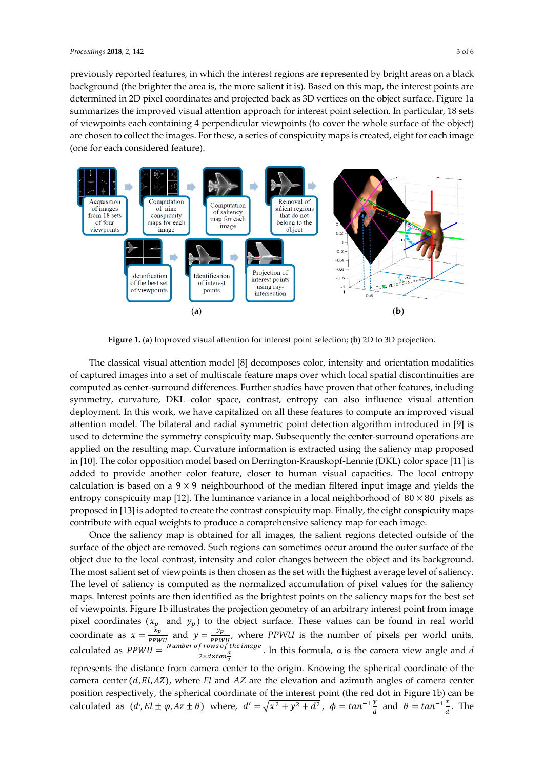previously reported features, in which the interest regions are represented by bright areas on a black background (the brighter the area is, the more salient it is). Based on this map, the interest points are determined in 2D pixel coordinates and projected back as 3D vertices on the object surface. Figure 1a summarizes the improved visual attention approach for interest point selection. In particular, 18 sets of viewpoints each containing 4 perpendicular viewpoints (to cover the whole surface of the object) are chosen to collect the images. For these, a series of conspicuity maps is created, eight for each image (one for each considered feature).



**Figure 1.** (**a**) Improved visual attention for interest point selection; (**b**) 2D to 3D projection.

The classical visual attention model [8] decomposes color, intensity and orientation modalities of captured images into a set of multiscale feature maps over which local spatial discontinuities are computed as center-surround differences. Further studies have proven that other features, including symmetry, curvature, DKL color space, contrast, entropy can also influence visual attention deployment. In this work, we have capitalized on all these features to compute an improved visual attention model. The bilateral and radial symmetric point detection algorithm introduced in [9] is used to determine the symmetry conspicuity map. Subsequently the center-surround operations are applied on the resulting map. Curvature information is extracted using the saliency map proposed in [10]. The color opposition model based on Derrington-Krauskopf-Lennie (DKL) color space [11] is added to provide another color feature, closer to human visual capacities. The local entropy calculation is based on a  $9 \times 9$  neighbourhood of the median filtered input image and yields the entropy conspicuity map [12]. The luminance variance in a local neighborhood of  $80 \times 80$  pixels as proposed in [13] is adopted to create the contrast conspicuity map. Finally, the eight conspicuity maps contribute with equal weights to produce a comprehensive saliency map for each image.

Once the saliency map is obtained for all images, the salient regions detected outside of the surface of the object are removed. Such regions can sometimes occur around the outer surface of the object due to the local contrast, intensity and color changes between the object and its background. The most salient set of viewpoints is then chosen as the set with the highest average level of saliency. The level of saliency is computed as the normalized accumulation of pixel values for the saliency maps. Interest points are then identified as the brightest points on the saliency maps for the best set of viewpoints. Figure 1b illustrates the projection geometry of an arbitrary interest point from image pixel coordinates  $(x_p$  and  $y_p$ ) to the object surface. These values can be found in real world coordinate as  $x = \frac{\dot{x}_p}{p \cdot p \cdot w}$  and  $y = \frac{y_p}{p \cdot p \cdot w}$ , where *PPWU* is the number of pixels per world units, calculated as  $PPWU = \frac{Number\ of\ rows\ of\ the\ image}{2VdVtan^{\alpha}}$ . In this formula,  $\alpha$  is the camera view angle and *d*  $2\times d\times tan\frac{\alpha}{2}$ represents the distance from camera center to the origin. Knowing the spherical coordinate of the

camera center  $(d, El, AZ)$ , where  $El$  and  $AZ$  are the elevation and azimuth angles of camera center position respectively, the spherical coordinate of the interest point (the red dot in Figure 1b) can be calculated as  $(d, El \pm \varphi, Az \pm \theta)$  where,  $d' = \sqrt{x^2 + y^2 + d^2}$ ,  $\phi = \tan^{-1} \frac{y}{d}$  and  $\theta = \tan^{-1} \frac{x}{d}$ . The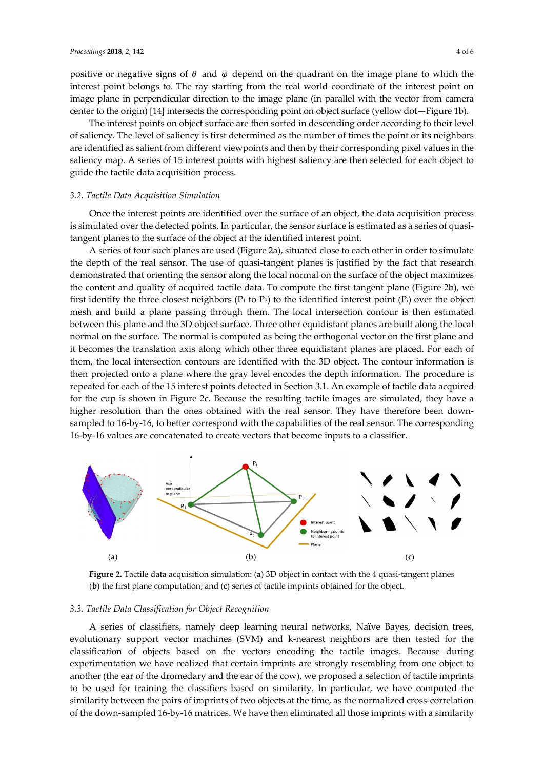positive or negative signs of  $\theta$  and  $\varphi$  depend on the quadrant on the image plane to which the interest point belongs to. The ray starting from the real world coordinate of the interest point on image plane in perpendicular direction to the image plane (in parallel with the vector from camera center to the origin) [14] intersects the corresponding point on object surface (yellow dot—Figure 1b).

The interest points on object surface are then sorted in descending order according to their level of saliency. The level of saliency is first determined as the number of times the point or its neighbors are identified as salient from different viewpoints and then by their corresponding pixel values in the saliency map. A series of 15 interest points with highest saliency are then selected for each object to guide the tactile data acquisition process.

#### *3.2. Tactile Data Acquisition Simulation*

Once the interest points are identified over the surface of an object, the data acquisition process is simulated over the detected points. In particular, the sensor surface is estimated as a series of quasitangent planes to the surface of the object at the identified interest point.

A series of four such planes are used (Figure 2a), situated close to each other in order to simulate the depth of the real sensor. The use of quasi-tangent planes is justified by the fact that research demonstrated that orienting the sensor along the local normal on the surface of the object maximizes the content and quality of acquired tactile data. To compute the first tangent plane (Figure 2b), we first identify the three closest neighbors ( $P_1$  to  $P_3$ ) to the identified interest point ( $P_1$ ) over the object mesh and build a plane passing through them. The local intersection contour is then estimated between this plane and the 3D object surface. Three other equidistant planes are built along the local normal on the surface. The normal is computed as being the orthogonal vector on the first plane and it becomes the translation axis along which other three equidistant planes are placed. For each of them, the local intersection contours are identified with the 3D object. The contour information is then projected onto a plane where the gray level encodes the depth information. The procedure is repeated for each of the 15 interest points detected in Section 3.1. An example of tactile data acquired for the cup is shown in Figure 2c. Because the resulting tactile images are simulated, they have a higher resolution than the ones obtained with the real sensor. They have therefore been downsampled to 16-by-16, to better correspond with the capabilities of the real sensor. The corresponding 16-by-16 values are concatenated to create vectors that become inputs to a classifier.



**Figure 2.** Tactile data acquisition simulation: (**a**) 3D object in contact with the 4 quasi-tangent planes (**b**) the first plane computation; and (**c**) series of tactile imprints obtained for the object.

#### *3.3. Tactile Data Classification for Object Recognition*

A series of classifiers, namely deep learning neural networks, Naïve Bayes, decision trees, evolutionary support vector machines (SVM) and k-nearest neighbors are then tested for the classification of objects based on the vectors encoding the tactile images. Because during experimentation we have realized that certain imprints are strongly resembling from one object to another (the ear of the dromedary and the ear of the cow), we proposed a selection of tactile imprints to be used for training the classifiers based on similarity. In particular, we have computed the similarity between the pairs of imprints of two objects at the time, as the normalized cross-correlation of the down-sampled 16-by-16 matrices. We have then eliminated all those imprints with a similarity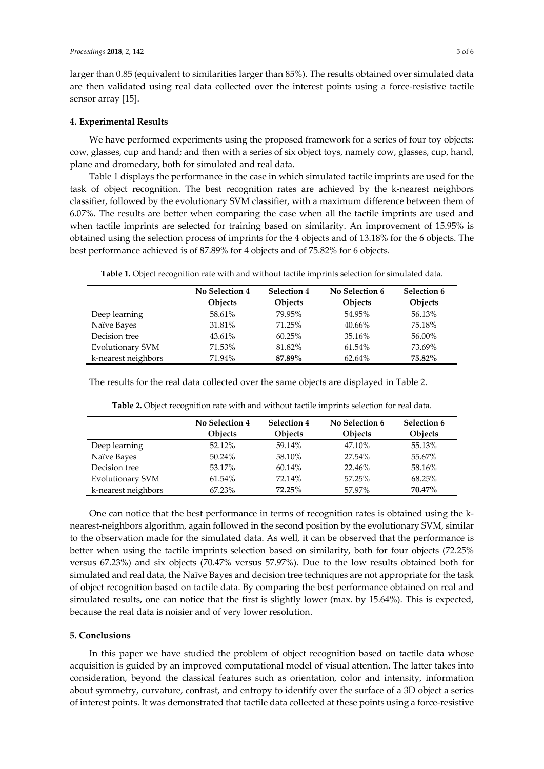larger than 0.85 (equivalent to similarities larger than 85%). The results obtained over simulated data are then validated using real data collected over the interest points using a force-resistive tactile sensor array [15].

#### **4. Experimental Results**

We have performed experiments using the proposed framework for a series of four toy objects: cow, glasses, cup and hand; and then with a series of six object toys, namely cow, glasses, cup, hand, plane and dromedary, both for simulated and real data.

Table 1 displays the performance in the case in which simulated tactile imprints are used for the task of object recognition. The best recognition rates are achieved by the k-nearest neighbors classifier, followed by the evolutionary SVM classifier, with a maximum difference between them of 6.07%. The results are better when comparing the case when all the tactile imprints are used and when tactile imprints are selected for training based on similarity. An improvement of 15.95% is obtained using the selection process of imprints for the 4 objects and of 13.18% for the 6 objects. The best performance achieved is of 87.89% for 4 objects and of 75.82% for 6 objects.

**Table 1.** Object recognition rate with and without tactile imprints selection for simulated data.

|                     | No Selection 4 | Selection 4    | No Selection 6 | Selection 6    |
|---------------------|----------------|----------------|----------------|----------------|
|                     | <b>Objects</b> | <b>Objects</b> | <b>Objects</b> | <b>Objects</b> |
| Deep learning       | 58.61%         | 79.95%         | 54.95%         | 56.13%         |
| Naïve Bayes         | 31.81%         | 71.25%         | 40.66%         | 75.18%         |
| Decision tree       | 43.61%         | $60.25\%$      | 35.16%         | 56.00%         |
| Evolutionary SVM    | 71.53%         | 81.82%         | 61.54%         | 73.69%         |
| k-nearest neighbors | 71.94%         | 87.89%         | 62.64%         | 75.82%         |

The results for the real data collected over the same objects are displayed in Table 2.

|                     | No Selection 4 | Selection 4 | No Selection 6 | Selection 6 |
|---------------------|----------------|-------------|----------------|-------------|
|                     | Objects        | Objects     | Objects        | Objects     |
| Deep learning       | 52.12%         | 59.14%      | 47.10%         | 55.13%      |
| Naïve Bayes         | 50.24%         | 58.10%      | 27.54%         | 55.67%      |
| Decision tree       | 53.17%         | 60.14%      | 22.46%         | 58.16%      |
| Evolutionary SVM    | 61.54%         | 72.14%      | 57.25%         | 68.25%      |
| k-nearest neighbors | 67.23%         | 72.25%      | 57.97%         | 70.47%      |

**Table 2.** Object recognition rate with and without tactile imprints selection for real data.

One can notice that the best performance in terms of recognition rates is obtained using the knearest-neighbors algorithm, again followed in the second position by the evolutionary SVM, similar to the observation made for the simulated data. As well, it can be observed that the performance is better when using the tactile imprints selection based on similarity, both for four objects (72.25% versus 67.23%) and six objects (70.47% versus 57.97%). Due to the low results obtained both for simulated and real data, the Naïve Bayes and decision tree techniques are not appropriate for the task of object recognition based on tactile data. By comparing the best performance obtained on real and simulated results, one can notice that the first is slightly lower (max. by 15.64%). This is expected, because the real data is noisier and of very lower resolution.

#### **5. Conclusions**

In this paper we have studied the problem of object recognition based on tactile data whose acquisition is guided by an improved computational model of visual attention. The latter takes into consideration, beyond the classical features such as orientation, color and intensity, information about symmetry, curvature, contrast, and entropy to identify over the surface of a 3D object a series of interest points. It was demonstrated that tactile data collected at these points using a force-resistive